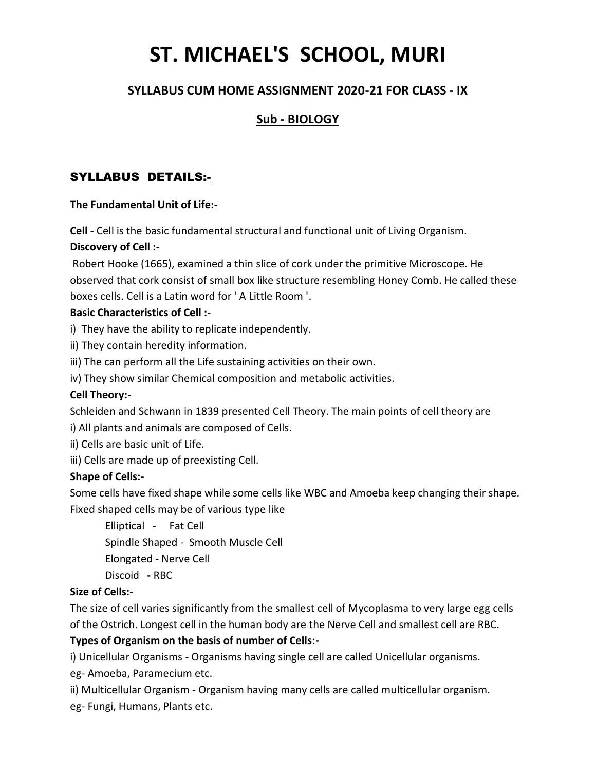# **ST. MICHAEL'S SCHOOL, MURI**

## **SYLLABUS CUM HOME ASSIGNMENT 2020-21 FOR CLASS - IX**

## **Sub - BIOLOGY**

### SYLLABUS DETAILS:-

#### **The Fundamental Unit of Life:-**

**Cell -** Cell is the basic fundamental structural and functional unit of Living Organism. **Discovery of Cell :-**

Robert Hooke (1665), examined a thin slice of cork under the primitive Microscope. He observed that cork consist of small box like structure resembling Honey Comb. He called these boxes cells. Cell is a Latin word for ' A Little Room '.

#### **Basic Characteristics of Cell :-**

i) They have the ability to replicate independently.

- ii) They contain heredity information.
- iii) The can perform all the Life sustaining activities on their own.
- iv) They show similar Chemical composition and metabolic activities.

#### **Cell Theory:-**

Schleiden and Schwann in 1839 presented Cell Theory. The main points of cell theory are

i) All plants and animals are composed of Cells.

ii) Cells are basic unit of Life.

iii) Cells are made up of preexisting Cell.

#### **Shape of Cells:-**

Some cells have fixed shape while some cells like WBC and Amoeba keep changing their shape. Fixed shaped cells may be of various type like

Elliptical - Fat Cell Spindle Shaped - Smooth Muscle Cell Elongated - Nerve Cell Discoid **-** RBC

#### **Size of Cells:-**

The size of cell varies significantly from the smallest cell of Mycoplasma to very large egg cells of the Ostrich. Longest cell in the human body are the Nerve Cell and smallest cell are RBC.

#### **Types of Organism on the basis of number of Cells:-**

i) Unicellular Organisms - Organisms having single cell are called Unicellular organisms.

eg- Amoeba, Paramecium etc.

ii) Multicellular Organism - Organism having many cells are called multicellular organism. eg- Fungi, Humans, Plants etc.